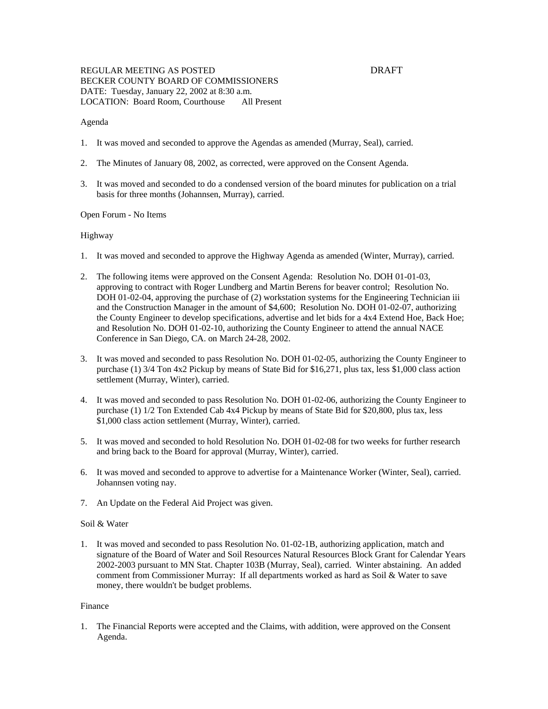# REGULAR MEETING AS POSTED DRAFT BECKER COUNTY BOARD OF COMMISSIONERS DATE: Tuesday, January 22, 2002 at 8:30 a.m. LOCATION: Board Room, Courthouse All Present

## Agenda

- 1. It was moved and seconded to approve the Agendas as amended (Murray, Seal), carried.
- 2. The Minutes of January 08, 2002, as corrected, were approved on the Consent Agenda.
- 3. It was moved and seconded to do a condensed version of the board minutes for publication on a trial basis for three months (Johannsen, Murray), carried.

## Open Forum - No Items

## Highway

- 1. It was moved and seconded to approve the Highway Agenda as amended (Winter, Murray), carried.
- 2. The following items were approved on the Consent Agenda: Resolution No. DOH 01-01-03, approving to contract with Roger Lundberg and Martin Berens for beaver control; Resolution No. DOH 01-02-04, approving the purchase of (2) workstation systems for the Engineering Technician iii and the Construction Manager in the amount of \$4,600; Resolution No. DOH 01-02-07, authorizing the County Engineer to develop specifications, advertise and let bids for a 4x4 Extend Hoe, Back Hoe; and Resolution No. DOH 01-02-10, authorizing the County Engineer to attend the annual NACE Conference in San Diego, CA. on March 24-28, 2002.
- 3. It was moved and seconded to pass Resolution No. DOH 01-02-05, authorizing the County Engineer to purchase (1) 3/4 Ton 4x2 Pickup by means of State Bid for \$16,271, plus tax, less \$1,000 class action settlement (Murray, Winter), carried.
- 4. It was moved and seconded to pass Resolution No. DOH 01-02-06, authorizing the County Engineer to purchase (1) 1/2 Ton Extended Cab 4x4 Pickup by means of State Bid for \$20,800, plus tax, less \$1,000 class action settlement (Murray, Winter), carried.
- 5. It was moved and seconded to hold Resolution No. DOH 01-02-08 for two weeks for further research and bring back to the Board for approval (Murray, Winter), carried.
- 6. It was moved and seconded to approve to advertise for a Maintenance Worker (Winter, Seal), carried. Johannsen voting nay.
- 7. An Update on the Federal Aid Project was given.

## Soil & Water

1. It was moved and seconded to pass Resolution No. 01-02-1B, authorizing application, match and signature of the Board of Water and Soil Resources Natural Resources Block Grant for Calendar Years 2002-2003 pursuant to MN Stat. Chapter 103B (Murray, Seal), carried. Winter abstaining. An added comment from Commissioner Murray: If all departments worked as hard as Soil & Water to save money, there wouldn't be budget problems.

## Finance

1. The Financial Reports were accepted and the Claims, with addition, were approved on the Consent Agenda.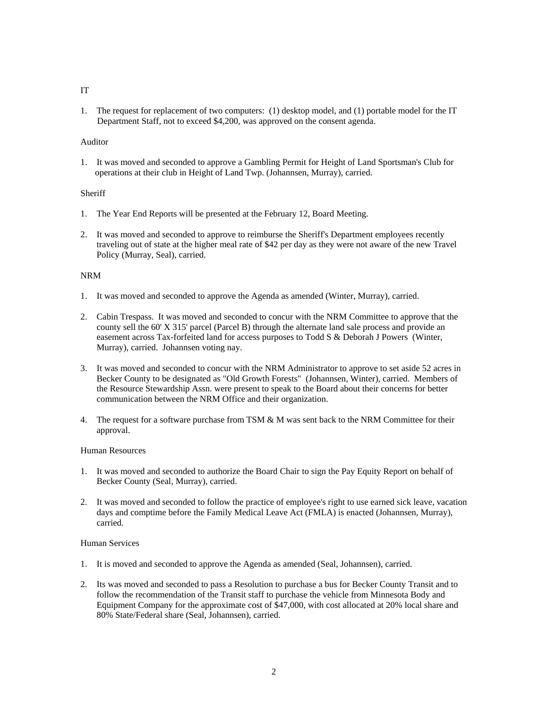#### IT

1. The request for replacement of two computers: (1) desktop model, and (1) portable model for the IT Department Staff, not to exceed \$4,200, was approved on the consent agenda.

# Auditor

1. It was moved and seconded to approve a Gambling Permit for Height of Land Sportsman's Club for operations at their club in Height of Land Twp. (Johannsen, Murray), carried.

## **Sheriff**

- 1. The Year End Reports will be presented at the February 12, Board Meeting.
- 2. It was moved and seconded to approve to reimburse the Sheriff's Department employees recently traveling out of state at the higher meal rate of \$42 per day as they were not aware of the new Travel Policy (Murray, Seal), carried.

## NRM

- 1. It was moved and seconded to approve the Agenda as amended (Winter, Murray), carried.
- 2. Cabin Trespass. It was moved and seconded to concur with the NRM Committee to approve that the county sell the 60' X 315' parcel (Parcel B) through the alternate land sale process and provide an easement across Tax-forfeited land for access purposes to Todd S & Deborah J Powers (Winter, Murray), carried. Johannsen voting nay.
- 3. It was moved and seconded to concur with the NRM Administrator to approve to set aside 52 acres in Becker County to be designated as "Old Growth Forests" (Johannsen, Winter), carried. Members of the Resource Stewardship Assn. were present to speak to the Board about their concerns for better communication between the NRM Office and their organization.
- 4. The request for a software purchase from TSM & M was sent back to the NRM Committee for their approval.

#### Human Resources

- 1. It was moved and seconded to authorize the Board Chair to sign the Pay Equity Report on behalf of Becker County (Seal, Murray), carried.
- 2. It was moved and seconded to follow the practice of employee's right to use earned sick leave, vacation days and comptime before the Family Medical Leave Act (FMLA) is enacted (Johannsen, Murray), carried.

#### Human Services

- 1. It is moved and seconded to approve the Agenda as amended (Seal, Johannsen), carried.
- 2. Its was moved and seconded to pass a Resolution to purchase a bus for Becker County Transit and to follow the recommendation of the Transit staff to purchase the vehicle from Minnesota Body and Equipment Company for the approximate cost of \$47,000, with cost allocated at 20% local share and 80% State/Federal share (Seal, Johannsen), carried.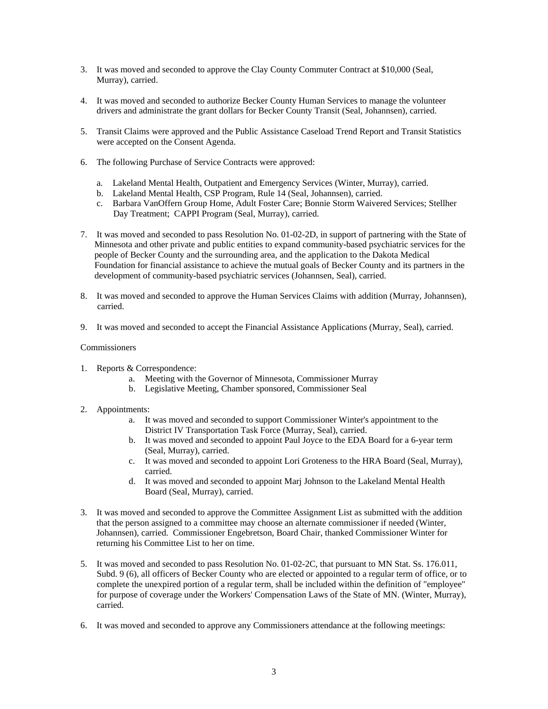- 3. It was moved and seconded to approve the Clay County Commuter Contract at \$10,000 (Seal, Murray), carried.
- 4. It was moved and seconded to authorize Becker County Human Services to manage the volunteer drivers and administrate the grant dollars for Becker County Transit (Seal, Johannsen), carried.
- 5. Transit Claims were approved and the Public Assistance Caseload Trend Report and Transit Statistics were accepted on the Consent Agenda.
- 6. The following Purchase of Service Contracts were approved:
	- a. Lakeland Mental Health, Outpatient and Emergency Services (Winter, Murray), carried.
	- b. Lakeland Mental Health, CSP Program, Rule 14 (Seal, Johannsen), carried.
	- c. Barbara VanOffern Group Home, Adult Foster Care; Bonnie Storm Waivered Services; Stellher Day Treatment; CAPPI Program (Seal, Murray), carried.
- 7. It was moved and seconded to pass Resolution No. 01-02-2D, in support of partnering with the State of Minnesota and other private and public entities to expand community-based psychiatric services for the people of Becker County and the surrounding area, and the application to the Dakota Medical Foundation for financial assistance to achieve the mutual goals of Becker County and its partners in the development of community-based psychiatric services (Johannsen, Seal), carried.
- 8. It was moved and seconded to approve the Human Services Claims with addition (Murray, Johannsen), carried.
- 9. It was moved and seconded to accept the Financial Assistance Applications (Murray, Seal), carried.

## **Commissioners**

- 1. Reports & Correspondence:
	- a. Meeting with the Governor of Minnesota, Commissioner Murray
	- b. Legislative Meeting, Chamber sponsored, Commissioner Seal
- 2. Appointments:
	- a. It was moved and seconded to support Commissioner Winter's appointment to the District IV Transportation Task Force (Murray, Seal), carried.
	- b. It was moved and seconded to appoint Paul Joyce to the EDA Board for a 6-year term (Seal, Murray), carried.
	- c. It was moved and seconded to appoint Lori Groteness to the HRA Board (Seal, Murray), carried.
	- d. It was moved and seconded to appoint Marj Johnson to the Lakeland Mental Health Board (Seal, Murray), carried.
- 3. It was moved and seconded to approve the Committee Assignment List as submitted with the addition that the person assigned to a committee may choose an alternate commissioner if needed (Winter, Johannsen), carried. Commissioner Engebretson, Board Chair, thanked Commissioner Winter for returning his Committee List to her on time.
- 5. It was moved and seconded to pass Resolution No. 01-02-2C, that pursuant to MN Stat. Ss. 176.011, Subd. 9 (6), all officers of Becker County who are elected or appointed to a regular term of office, or to complete the unexpired portion of a regular term, shall be included within the definition of "employee" for purpose of coverage under the Workers' Compensation Laws of the State of MN. (Winter, Murray), carried.
- 6. It was moved and seconded to approve any Commissioners attendance at the following meetings: